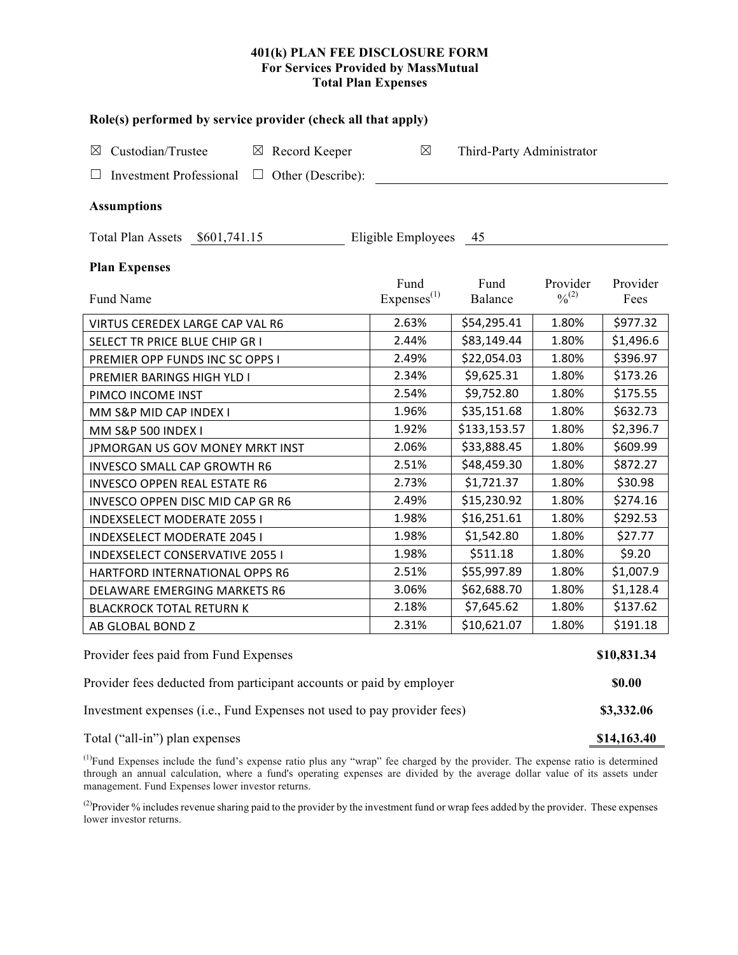### **401(k) PLAN FEE DISCLOSURE FORM For Services Provided by MassMutual Total Plan Expenses**

| Role(s) performed by service provider (check all that apply)            |                                |                           |                                          |                  |  |  |  |  |
|-------------------------------------------------------------------------|--------------------------------|---------------------------|------------------------------------------|------------------|--|--|--|--|
| Custodian/Trustee<br>$\boxtimes$ Record Keeper<br>$\boxtimes$           | $\boxtimes$                    | Third-Party Administrator |                                          |                  |  |  |  |  |
| <b>Investment Professional</b><br>$\Box$ Other (Describe):              |                                |                           |                                          |                  |  |  |  |  |
|                                                                         |                                |                           |                                          |                  |  |  |  |  |
| <b>Assumptions</b>                                                      |                                |                           |                                          |                  |  |  |  |  |
| Total Plan Assets \$601,741.15<br>Eligible Employees<br>45              |                                |                           |                                          |                  |  |  |  |  |
| <b>Plan Expenses</b>                                                    |                                |                           |                                          |                  |  |  |  |  |
| Fund Name                                                               | Fund<br>Express <sup>(1)</sup> | Fund<br>Balance           | Provider<br>$\frac{0}{2}$ <sup>(2)</sup> | Provider<br>Fees |  |  |  |  |
| VIRTUS CEREDEX LARGE CAP VAL R6                                         | 2.63%                          | \$54,295.41               | 1.80%                                    | \$977.32         |  |  |  |  |
| SELECT TR PRICE BLUE CHIP GR I                                          | 2.44%                          | \$83,149.44               | 1.80%                                    | \$1,496.6        |  |  |  |  |
| PREMIER OPP FUNDS INC SC OPPS I                                         | 2.49%                          | \$22,054.03               | 1.80%                                    | \$396.97         |  |  |  |  |
| PREMIER BARINGS HIGH YLD I                                              | 2.34%                          | \$9,625.31                | 1.80%                                    | \$173.26         |  |  |  |  |
| PIMCO INCOME INST                                                       | 2.54%                          | \$9,752.80                | 1.80%                                    | \$175.55         |  |  |  |  |
| MM S&P MID CAP INDEX I                                                  | 1.96%                          | \$35,151.68               | 1.80%                                    | \$632.73         |  |  |  |  |
| MM S&P 500 INDEX I                                                      | 1.92%                          | \$133,153.57              | 1.80%                                    | \$2,396.7        |  |  |  |  |
| JPMORGAN US GOV MONEY MRKT INST                                         | 2.06%                          | \$33,888.45               | 1.80%                                    | \$609.99         |  |  |  |  |
| INVESCO SMALL CAP GROWTH R6                                             | 2.51%                          | \$48,459.30               | 1.80%                                    | \$872.27         |  |  |  |  |
| <b>INVESCO OPPEN REAL ESTATE R6</b>                                     | 2.73%                          | \$1,721.37                | 1.80%                                    | \$30.98          |  |  |  |  |
| INVESCO OPPEN DISC MID CAP GR R6                                        | 2.49%                          | \$15,230.92               | 1.80%                                    | \$274.16         |  |  |  |  |
| <b>INDEXSELECT MODERATE 2055 I</b>                                      | 1.98%                          | \$16,251.61               | 1.80%                                    | \$292.53         |  |  |  |  |
| <b>INDEXSELECT MODERATE 2045 I</b>                                      | 1.98%                          | \$1,542.80                | 1.80%                                    | \$27.77          |  |  |  |  |
| <b>INDEXSELECT CONSERVATIVE 2055 I</b>                                  | 1.98%                          | \$511.18                  | 1.80%                                    | \$9.20           |  |  |  |  |
| HARTFORD INTERNATIONAL OPPS R6                                          | 2.51%                          | \$55,997.89               | 1.80%                                    | \$1,007.9        |  |  |  |  |
| DELAWARE EMERGING MARKETS R6                                            | 3.06%                          | \$62,688.70               | 1.80%                                    | \$1,128.4        |  |  |  |  |
| <b>BLACKROCK TOTAL RETURN K</b>                                         | 2.18%                          | \$7,645.62                | 1.80%                                    | \$137.62         |  |  |  |  |
| AB GLOBAL BOND Z                                                        | 2.31%                          | \$10,621.07               | 1.80%                                    | \$191.18         |  |  |  |  |
| Provider fees paid from Fund Expenses                                   |                                |                           |                                          |                  |  |  |  |  |
| Provider fees deducted from participant accounts or paid by employer    |                                |                           |                                          |                  |  |  |  |  |
| Investment expenses (i.e., Fund Expenses not used to pay provider fees) |                                |                           |                                          |                  |  |  |  |  |
| Total ("all-in") plan expenses                                          |                                |                           |                                          | \$14,163.40      |  |  |  |  |

<sup>(1)</sup>Fund Expenses include the fund's expense ratio plus any "wrap" fee charged by the provider. The expense ratio is determined through an annual calculation, where a fund's operating expenses are divided by the average dollar value of its assets under management. Fund Expenses lower investor returns.

<sup>(2)</sup>Provider % includes revenue sharing paid to the provider by the investment fund or wrap fees added by the provider. These expenses lower investor returns.